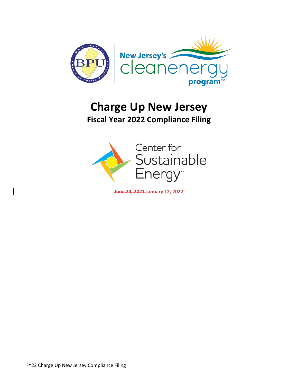

# **Charge Up New Jersey Fiscal Year 2022 Compliance Filing**



**June 24, 2021 January 12, 2022**

FY22 Charge Up New Jersey Compliance Filing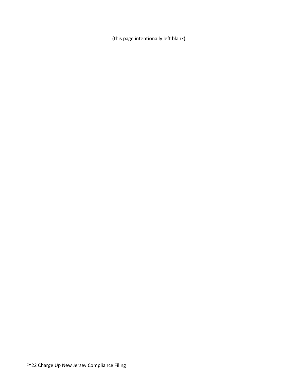(this page intentionally left blank)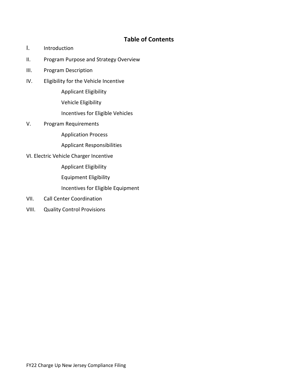# **Table of Contents**

- I. Introduction
- II. Program Purpose and Strategy Overview
- III. Program Description
- IV. Eligibility for the Vehicle Incentive

Applicant Eligibility

Vehicle Eligibility

Incentives for Eligible Vehicles

V. Program Requirements

Application Process

Applicant Responsibilities

VI. Electric Vehicle Charger Incentive

Applicant Eligibility

Equipment Eligibility

Incentives for Eligible Equipment

- VII. Call Center Coordination
- VIII. Quality Control Provisions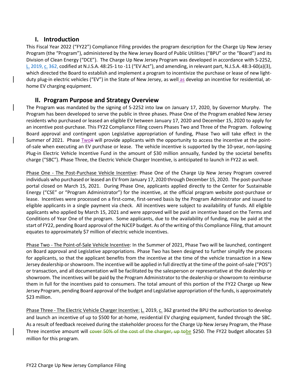## **I. Introduction**

This Fiscal Year 2022 ("FY22") Compliance Filing provides the program description for the Charge Up New Jersey Program (the "Program"), administered by the New Jersey Board of Public Utilities ("BPU" or the "Board") and its Division of Clean Energy ("DCE"). The Charge Up New Jersey Program was developed in accordance with S-2252, L. [2019, c.](https://www.njleg.state.nj.us/2018/Bills/PL19/362_.PDF) 362, codified at N.J.S.A. 48:25-1 to -11 ("EV Act"), and amending, in relevant part, N.J.S.A. 48:3-60(a)(3), which directed the Board to establish and implement a program to incentivize the purchase or lease of new lightduty plug-in electric vehicles ("EV") in the State of New Jersey, as well as develop an incentive for residential, athome EV charging equipment.

## **II. Program Purpose and Strategy Overview**

The Program was mandated by the signing of S-2252 into law on January 17, 2020, by Governor Murphy. The Program has been developed to serve the public in three phases. Phase One of the Program enabled New Jersey residents who purchased or leased an eligible EV between January 17, 2020 and December 15, 2020 to apply for an incentive post-purchase. This FY22 Compliance Filing covers Phases Two and Three of the Program. Following Board approval and contingent upon Legislative appropriation of funding, Phase Two will take effect in the Summer of 2021. Phase Two<sup>II</sup> will provide applicants with the opportunity to access the incentive at the pointof-sale when executing an EV purchase or lease. The vehicle incentive is supported by the 10-year, non-lapsing Plug-in Electric Vehicle Incentive Fund in the amount of \$30 million annually, funded by the societal benefits charge ("SBC"). Phase Three, the Electric Vehicle Charger Incentive, is anticipated to launch in FY22 as well.

Phase One - The Post-Purchase Vehicle Incentive: Phase One of the Charge Up New Jersey Program covered individuals who purchased or leased an EV from January 17, 2020 through December 15, 2020. The post-purchase portal closed on March 15, 2021. During Phase One, applicants applied directly to the Center for Sustainable Energy ("CSE" or "Program Administrator") for the incentive, at the official program website post-purchase or lease. Incentives were processed on a first-come, first-served basis by the Program Administrator and issued to eligible applicants in a single payment via check. All incentives were subject to availability of funds. All eligible applicants who applied by March 15, 2021 and were approved will be paid an incentive based on the Terms and Conditions of Year One of the program. Some applicants, due to the availability of funding, may be paid at the start of FY22, pending Board approval of the NJCEP budget. As of the writing of this Compliance Filing, that amount equates to approximately \$7 million of electric vehicle incentives.

Phase Two - The Point-of-Sale Vehicle Incentive: In the Summer of 2021, Phase Two will be launched, contingent on Board approval and Legislative appropriations. Phase Two has been designed to further simplify the process for applicants, so that the applicant benefits from the incentive at the time of the vehicle transaction in a New Jersey dealership or showroom. The incentive will be applied in full directly at the time of the point-of-sale ("POS") or transaction, and all documentation will be facilitated by the salesperson or representative at the dealership or showroom. The incentives will be paid by the Program Administrator to the dealership or showroom to reimburse them in full for the incentives paid to consumers. The total amount of this portion of the FY22 Charge up New Jersey Program, pending Board approval of the budget and Legislative appropriation of the funds, is approximately \$23 million.

Phase Three - The Electric Vehicle Charger Incentive: L. 2019, c. 362 granted the BPU the authorization to develop and launch an incentive of up to \$500 for at-home, residential EV charging equipment, funded through the SBC. As a result of feedback received during the stakeholder process for the Charge Up New Jersey Program, the Phase Three incentive amount will cover 50% of the cost of the charger, up tobe \$250. The FY22 budget allocates \$3 million for this program.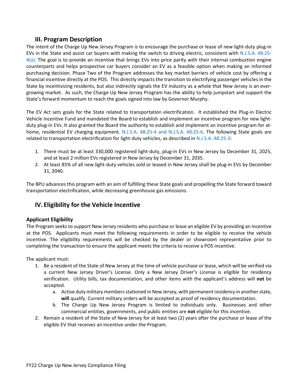## **III. Program Description**

The intent of the Charge Up New Jersey Program is to encourage the purchase or lease of new light-duty plug-in EVs in the State and assist car buyers with making the switch to driving electric, consistent with N.J.S.A. 48:25-  $4(a)$ . The goal is to provide an incentive that brings EVs into price parity with their internal combustion engine counterparts and helps prospective car buyers consider an EV as a feasible option when making an informed purchasing decision. Phase Two of the Program addresses the key market barriers of vehicle cost by offering a financial incentive directly at the POS. This directly impacts the transition to electrifying passenger vehicles in the State by incentivizing residents, but also indirectly signals the EV industry as a whole that New Jersey is an evergrowing market. As such, the Charge Up New Jersey Program has the ability to help jumpstart and support the State's forward momentum to reach the goals signed into law by Governor Murphy.

The EV Act sets goals for the State related to transportation electrification. It established the Plug-in Electric Vehicle Incentive Fund and mandated the Board to establish and implement an incentive program for new lightduty plug-in EVs. It also granted the Board the authority to establish and implement an incentive program for athome, residential EV charging equipment. N.J.S.A. 48:25-4 and N.J.S.A. 48:25-6. The following State goals are related to transportation electrification for light-duty vehicles, as described in N.J.S.A. 48:25-3:

- 1. There must be at least 330,000 registered light-duty, plug-in EVs in New Jersey by December 31, 2025, and at least 2 million EVs registered in New Jersey by December 31, 2035.
- 2. At least 85% of all new light-duty vehicles sold or leased in New Jersey shall be plug-in EVs by December 31, 2040.

The BPU advances this program with an aim of fulfilling these State goals and propelling the State forward toward transportation electrification, while decreasing greenhouse gas emissions.

# **IV. Eligibility for the Vehicle Incentive**

## **Applicant Eligibility**

The Program seeks to support New Jersey residents who purchase or lease an eligible EV by providing an incentive at the POS. Applicants must meet the following requirements in order to be eligible to receive the vehicle incentive. The eligibility requirements will be checked by the dealer or showroom representative prior to completing the transaction to ensure the applicant meets the criteria to receive a POS incentive.

The applicant must:

- 1. Be a resident of the State of New Jersey at the time of vehicle purchase or lease, which will be verified via a current New Jersey Driver's License. Only a New Jersey Driver's License is eligible for residency verification. Utility bills, tax documentation, and other items with the applicant's address will **not** be accepted.
	- a. Active duty military members stationed in New Jersey, with permanent residency in another state, **will** qualify. Current military orders will be accepted as proof of residency documentation.
	- b. The Charge Up New Jersey Program is limited to individuals only. Businesses and other commercial entities, governments, and public entities are **not** eligible for this incentive.
- 2. Remain a resident of the State of New Jersey for at least two (2) years after the purchase or lease of the eligible EV that receives an incentive under the Program.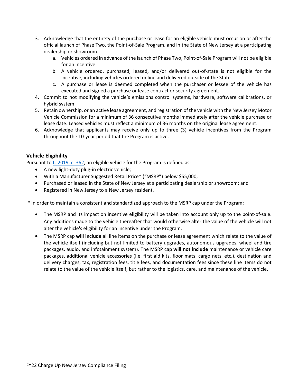- 3. Acknowledge that the entirety of the purchase or lease for an eligible vehicle must occur on or after the official launch of Phase Two, the Point-of-Sale Program, and in the State of New Jersey at a participating dealership or showroom.
	- a. Vehicles ordered in advance of the launch of Phase Two, Point-of-Sale Program will not be eligible for an incentive.
	- b. A vehicle ordered, purchased, leased, and/or delivered out-of-state is not eligible for the incentive, including vehicles ordered online and delivered outside of the State.
	- c. A purchase or lease is deemed completed when the purchaser or lessee of the vehicle has executed and signed a purchase or lease contract or security agreement.
- 4. Commit to not modifying the vehicle's emissions control systems, hardware, software calibrations, or hybrid system.
- 5. Retain ownership, or an active lease agreement, and registration of the vehicle with the New Jersey Motor Vehicle Commission for a minimum of 36 consecutive months immediately after the vehicle purchase or lease date. Leased vehicles must reflect a minimum of 36 months on the original lease agreement.
- 6. Acknowledge that applicants may receive only up to three (3) vehicle incentives from the Program throughout the 10-year period that the Program is active.

## **Vehicle Eligibility**

Pursuant to  $\underline{\mathsf{L}}$ . [2019, c.](https://www.njleg.state.nj.us/2018/Bills/PL19/362_.PDF) 362, an eligible vehicle for the Program is defined as:

- A new light-duty plug-in electric vehicle;
- With a Manufacturer Suggested Retail Price\* ("MSRP") below \$55,000;
- Purchased or leased in the State of New Jersey at a participating dealership or showroom; and
- Registered in New Jersey to a New Jersey resident.

\* In order to maintain a consistent and standardized approach to the MSRP cap under the Program:

- The MSRP and its impact on incentive eligibility will be taken into account only up to the point-of-sale. Any additions made to the vehicle thereafter that would otherwise alter the value of the vehicle will not alter the vehicle's eligibility for an incentive under the Program.
- The MSRP cap **will include** all line items on the purchase or lease agreement which relate to the value of the vehicle itself (including but not limited to battery upgrades, autonomous upgrades, wheel and tire packages, audio, and infotainment system). The MSRP cap **will not include** maintenance or vehicle care packages, additional vehicle accessories (i.e. first aid kits, floor mats, cargo nets, etc.), destination and delivery charges, tax, registration fees, title fees, and documentation fees since these line items do not relate to the value of the vehicle itself, but rather to the logistics, care, and maintenance of the vehicle.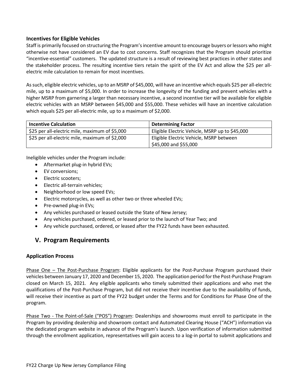### **Incentives for Eligible Vehicles**

Staff is primarily focused on structuring the Program's incentive amount to encourage buyers or lessors who might otherwise not have considered an EV due to cost concerns. Staff recognizes that the Program should prioritize "incentive-essential" customers. The updated structure is a result of reviewing best practices in other states and the stakeholder process. The resulting incentive tiers retain the spirit of the EV Act and allow the \$25 per allelectric mile calculation to remain for most incentives.

As such, eligible electric vehicles, up to an MSRP of \$45,000, will have an incentive which equals \$25 per all-electric mile, up to a maximum of \$5,000. In order to increase the longevity of the funding and prevent vehicles with a higher MSRP from garnering a larger than necessary incentive, a second incentive tier will be available for eligible electric vehicles with an MSRP between \$45,000 and \$55,000. These vehicles will have an incentive calculation which equals \$25 per all-electric mile, up to a maximum of \$2,000.

| <b>Incentive Calculation</b>                   | <b>Determining Factor</b>                      |
|------------------------------------------------|------------------------------------------------|
| \$25 per all-electric mile, maximum of \$5,000 | Eligible Electric Vehicle, MSRP up to \$45,000 |
| \$25 per all-electric mile, maximum of \$2,000 | Eligible Electric Vehicle, MSRP between        |
|                                                | $$45,000$ and \$55,000                         |

Ineligible vehicles under the Program include:

- Aftermarket plug-in hybrid EVs;
- EV conversions;
- Electric scooters;
- Electric all-terrain vehicles;
- Neighborhood or low speed EVs;
- Electric motorcycles, as well as other two or three wheeled EVs;
- Pre-owned plug-in EVs;
- Any vehicles purchased or leased outside the State of New Jersey;
- Any vehicles purchased, ordered, or leased prior to the launch of Year Two; and
- Any vehicle purchased, ordered, or leased after the FY22 funds have been exhausted.

## **V. Program Requirements**

#### **Application Process**

Phase One – The Post-Purchase Program: Eligible applicants for the Post-Purchase Program purchased their vehicles between January 17, 2020 and December 15, 2020. The application period for the Post-Purchase Program closed on March 15, 2021. Any eligible applicants who timely submitted their applications and who met the qualifications of the Post-Purchase Program, but did not receive their incentive due to the availability of funds, will receive their incentive as part of the FY22 budget under the Terms and for Conditions for Phase One of the program.

Phase Two - The Point-of-Sale ("POS") Program: Dealerships and showrooms must enroll to participate in the Program by providing dealership and showroom contact and Automated Clearing House ("ACH") information via the dedicated program website in advance of the Program's launch. Upon verification of information submitted through the enrollment application, representatives will gain access to a log-in portal to submit applications and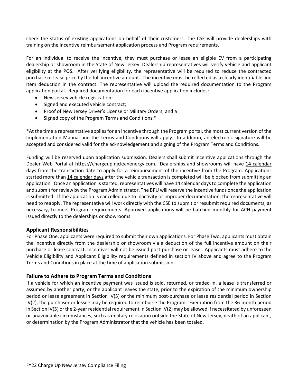check the status of existing applications on behalf of their customers. The CSE will provide dealerships with training on the incentive reimbursement application process and Program requirements.

For an individual to receive the incentive, they must purchase or lease an eligible EV from a participating dealership or showroom in the State of New Jersey. Dealership representatives will verify vehicle and applicant eligibility at the POS. After verifying eligibility, the representative will be required to reduce the contracted purchase or lease price by the full incentive amount. The incentive must be reflected as a clearly identifiable line item deduction in the contract. The representative will upload the required documentation to the Program application portal. Required documentation for each incentive application includes:

- New Jersey vehicle registration;
- Signed and executed vehicle contract;
- Proof of New Jersey Driver's License or Military Orders; and a
- Signed copy of the Program Terms and Conditions.\*

\*At the time a representative applies for an incentive through the Program portal, the most current version of the Implementation Manual and the Terms and Conditions will apply. In addition, an electronic signature will be accepted and considered valid for the acknowledgement and signing of the Program Terms and Conditions.

Funding will be reserved upon application submission. Dealers shall submit incentive applications through the Dealer Web Portal at https://chargeup.njcleanenergy.com. Dealerships and showrooms will have 14 calendar days from the transaction date to apply for a reimbursement of the incentive from the Program. Applications started more than 14 calendar days after the vehicle transaction is completed will be blocked from submitting an application. Once an application is started, representatives will have 14 calendar daysto complete the application and submit for review by the Program Administrator. The BPU will reserve the incentive funds once the application is submitted. If the application is cancelled due to inactivity or improper documentation, the representative will need to reapply. The representative will work directly with the CSE to submit or resubmit required documents, as necessary, to meet Program requirements. Approved applications will be batched monthly for ACH payment issued directly to the dealerships or showrooms.

#### **Applicant Responsibilities**

For Phase One, applicants were required to submit their own applications. For Phase Two, applicants must obtain the incentive directly from the dealership or showroom via a deduction of the full incentive amount on their purchase or lease contract. Incentives will not be issued post-purchase or lease. Applicants must adhere to the Vehicle Eligibility and Applicant Eligibility requirements defined in section IV above and agree to the Program Terms and Conditions in place at the time of application submission.

#### **Failure to Adhere to Program Terms and Conditions**

If a vehicle for which an incentive payment was issued is sold, returned, or traded in, a lease is transferred or assumed by another party, or the applicant leaves the state, prior to the expiration of the minimum ownership period or lease agreement in Section IV(5) or the minimum post-purchase or lease residential period in Section IV(2), the purchaser or lessee may be required to reimburse the Program. Exemption from the 36-month period in Section IV(5) or the 2-year residential requirement in Section IV(2) may be allowed if necessitated by unforeseen or unavoidable circumstances, such as military relocation outside the State of New Jersey, death of an applicant, or determination by the Program Administrator that the vehicle has been totaled.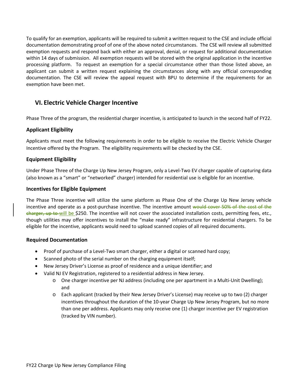To qualify for an exemption, applicants will be required to submit a written request to the CSE and include official documentation demonstrating proof of one of the above noted circumstances. The CSE will review all submitted exemption requests and respond back with either an approval, denial, or request for additional documentation within 14 days of submission. All exemption requests will be stored with the original application in the incentive processing platform. To request an exemption for a special circumstance other than those listed above, an applicant can submit a written request explaining the circumstances along with any official corresponding documentation. The CSE will review the appeal request with BPU to determine if the requirements for an exemption have been met.

## **VI. Electric Vehicle Charger Incentive**

Phase Three of the program, the residential charger incentive, is anticipated to launch in the second half of FY22.

## **Applicant Eligibility**

Applicants must meet the following requirements in order to be eligible to receive the Electric Vehicle Charger Incentive offered by the Program. The eligibility requirements will be checked by the CSE.

### **Equipment Eligibility**

Under Phase Three of the Charge Up New Jersey Program, only a Level-Two EV charger capable of capturing data (also known as a "smart" or "networked" charger) intended for residential use is eligible for an incentive.

### **Incentives for Eligible Equipment**

The Phase Three incentive will utilize the same platform as Phase One of the Charge Up New Jersey vehicle incentive and operate as a post-purchase incentive. The incentive amount would cover 50% of the cost of the charger, up to will be \$250. The incentive will not cover the associated installation costs, permitting fees, etc., though utilities may offer incentives to install the "make ready" infrastructure for residential chargers. To be eligible for the incentive, applicants would need to upload scanned copies of all required documents.

#### **Required Documentation**

- Proof of purchase of a Level-Two smart charger, either a digital or scanned hard copy;
- Scanned photo of the serial number on the charging equipment itself;
- New Jersey Driver's License as proof of residence and a unique identifier; and
- Valid NJ EV Registration, registered to a residential address in New Jersey.
	- o One charger incentive per NJ address (including one per apartment in a Multi-Unit Dwelling); and
	- o Each applicant (tracked by their New Jersey Driver's License) may receive up to two (2) charger incentives throughout the duration of the 10-year Charge Up New Jersey Program, but no more than one per address. Applicants may only receive one (1) charger incentive per EV registration (tracked by VIN number).